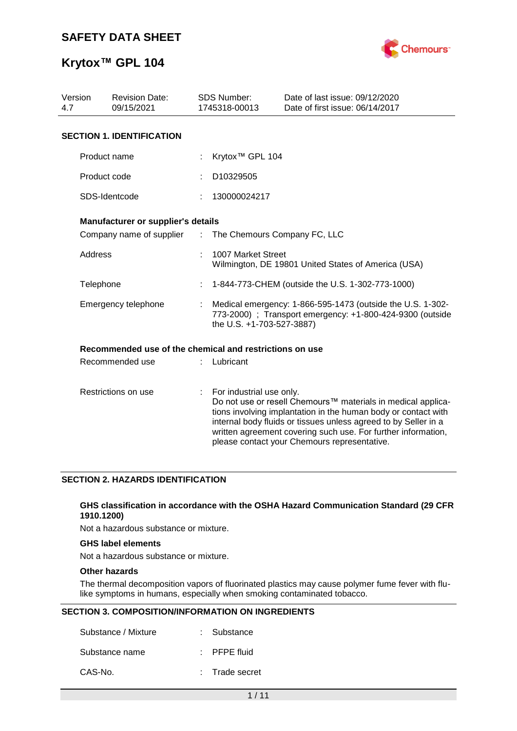

# **Krytox™ GPL 104**

| Version<br>4.7 | <b>Revision Date:</b><br>09/15/2021                     |                             | <b>SDS Number:</b><br>1745318-00013                                                                                                                  | Date of last issue: 09/12/2020<br>Date of first issue: 06/14/2017                                                                                                                                                                                                                                                  |
|----------------|---------------------------------------------------------|-----------------------------|------------------------------------------------------------------------------------------------------------------------------------------------------|--------------------------------------------------------------------------------------------------------------------------------------------------------------------------------------------------------------------------------------------------------------------------------------------------------------------|
|                | <b>SECTION 1. IDENTIFICATION</b>                        |                             |                                                                                                                                                      |                                                                                                                                                                                                                                                                                                                    |
|                | Product name                                            |                             | Krytox <sup>™</sup> GPL 104                                                                                                                          |                                                                                                                                                                                                                                                                                                                    |
|                | Product code                                            |                             | D10329505                                                                                                                                            |                                                                                                                                                                                                                                                                                                                    |
|                | SDS-Identcode                                           |                             | 130000024217                                                                                                                                         |                                                                                                                                                                                                                                                                                                                    |
|                | Manufacturer or supplier's details                      |                             |                                                                                                                                                      |                                                                                                                                                                                                                                                                                                                    |
|                | Company name of supplier                                | $\mathcal{L}^{\mathcal{L}}$ | The Chemours Company FC, LLC                                                                                                                         |                                                                                                                                                                                                                                                                                                                    |
| Address        |                                                         |                             | 1007 Market Street                                                                                                                                   | Wilmington, DE 19801 United States of America (USA)                                                                                                                                                                                                                                                                |
| Telephone      |                                                         |                             |                                                                                                                                                      | 1-844-773-CHEM (outside the U.S. 1-302-773-1000)                                                                                                                                                                                                                                                                   |
|                | Emergency telephone                                     |                             | Medical emergency: 1-866-595-1473 (outside the U.S. 1-302-<br>773-2000) ; Transport emergency: +1-800-424-9300 (outside<br>the U.S. +1-703-527-3887) |                                                                                                                                                                                                                                                                                                                    |
|                | Recommended use of the chemical and restrictions on use |                             |                                                                                                                                                      |                                                                                                                                                                                                                                                                                                                    |
|                | Recommended use                                         |                             | Lubricant                                                                                                                                            |                                                                                                                                                                                                                                                                                                                    |
|                | Restrictions on use                                     | ÷.                          | For industrial use only.                                                                                                                             | Do not use or resell Chemours™ materials in medical applica-<br>tions involving implantation in the human body or contact with<br>internal body fluids or tissues unless agreed to by Seller in a<br>written agreement covering such use. For further information,<br>please contact your Chemours representative. |

#### **SECTION 2. HAZARDS IDENTIFICATION**

#### **GHS classification in accordance with the OSHA Hazard Communication Standard (29 CFR 1910.1200)**

Not a hazardous substance or mixture.

#### **GHS label elements**

Not a hazardous substance or mixture.

#### **Other hazards**

The thermal decomposition vapors of fluorinated plastics may cause polymer fume fever with flulike symptoms in humans, especially when smoking contaminated tobacco.

#### **SECTION 3. COMPOSITION/INFORMATION ON INGREDIENTS**

| Substance / Mixture | : Substance             |
|---------------------|-------------------------|
| Substance name      | $\therefore$ PFPE fluid |
| CAS-No.             | : Trade secret          |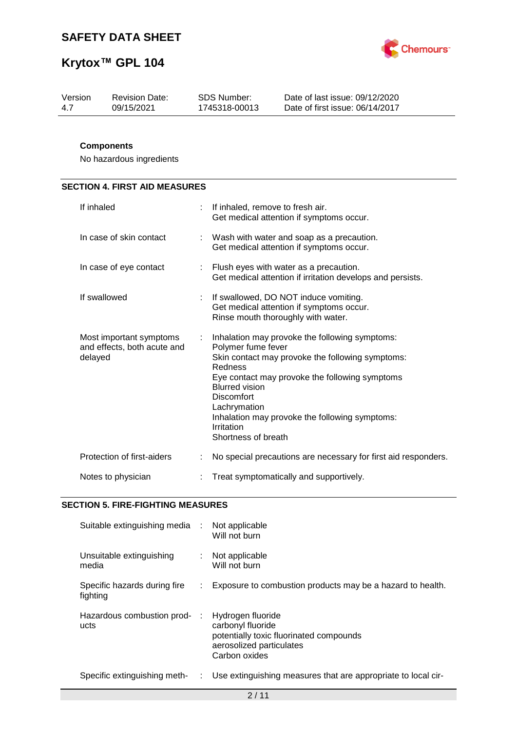

| Version | <b>Revision Date:</b> | SDS Number:   | Date of last issue: 09/12/2020  |
|---------|-----------------------|---------------|---------------------------------|
| 4.7     | 09/15/2021            | 1745318-00013 | Date of first issue: 06/14/2017 |
|         |                       |               |                                 |

### **Components**

No hazardous ingredients

# **SECTION 4. FIRST AID MEASURES**

| If inhaled                                                        |    | If inhaled, remove to fresh air.<br>Get medical attention if symptoms occur.                                                                                                                                                                                                                                                               |
|-------------------------------------------------------------------|----|--------------------------------------------------------------------------------------------------------------------------------------------------------------------------------------------------------------------------------------------------------------------------------------------------------------------------------------------|
| In case of skin contact                                           |    | Wash with water and soap as a precaution.<br>Get medical attention if symptoms occur.                                                                                                                                                                                                                                                      |
| In case of eye contact                                            |    | : Flush eyes with water as a precaution.<br>Get medical attention if irritation develops and persists.                                                                                                                                                                                                                                     |
| If swallowed                                                      | ÷  | If swallowed, DO NOT induce vomiting.<br>Get medical attention if symptoms occur.<br>Rinse mouth thoroughly with water.                                                                                                                                                                                                                    |
| Most important symptoms<br>and effects, both acute and<br>delayed | ÷. | Inhalation may provoke the following symptoms:<br>Polymer fume fever<br>Skin contact may provoke the following symptoms:<br>Redness<br>Eye contact may provoke the following symptoms<br><b>Blurred vision</b><br><b>Discomfort</b><br>Lachrymation<br>Inhalation may provoke the following symptoms:<br>Irritation<br>Shortness of breath |
| Protection of first-aiders                                        |    | No special precautions are necessary for first aid responders.                                                                                                                                                                                                                                                                             |
| Notes to physician                                                |    | Treat symptomatically and supportively.                                                                                                                                                                                                                                                                                                    |

#### **SECTION 5. FIRE-FIGHTING MEASURES**

| Suitable extinguishing media :           |    | Not applicable<br>Will not burn                                                                                                |
|------------------------------------------|----|--------------------------------------------------------------------------------------------------------------------------------|
| Unsuitable extinguishing<br>media        | t. | Not applicable<br>Will not burn                                                                                                |
| Specific hazards during fire<br>fighting |    | Exposure to combustion products may be a hazard to health.                                                                     |
| Hazardous combustion prod-<br>ucts       |    | Hydrogen fluoride<br>carbonyl fluoride<br>potentially toxic fluorinated compounds<br>aerosolized particulates<br>Carbon oxides |
| Specific extinguishing meth-             | t. | Use extinguishing measures that are appropriate to local cir-                                                                  |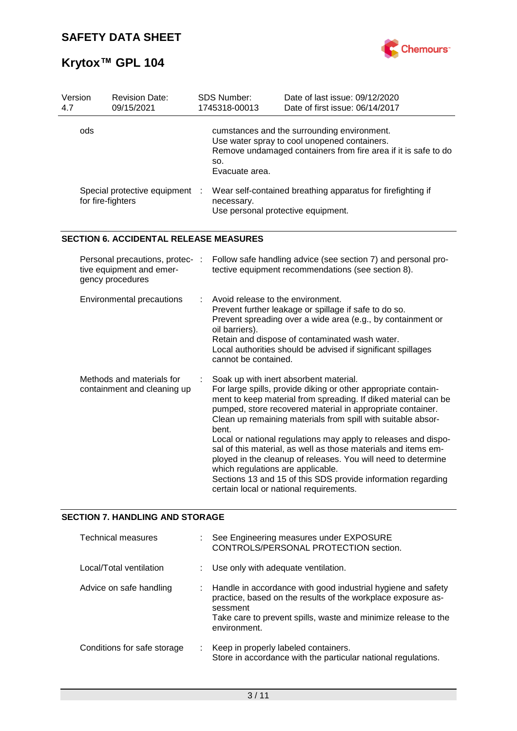

| Version<br>4.7                                           | <b>Revision Date:</b><br>09/15/2021                                             |  | SDS Number:<br>1745318-00013                                                | Date of last issue: 09/12/2020<br>Date of first issue: 06/14/2017                                                                                                                                                                                                                                                                                                                                                                                                                                                                                                                                                        |
|----------------------------------------------------------|---------------------------------------------------------------------------------|--|-----------------------------------------------------------------------------|--------------------------------------------------------------------------------------------------------------------------------------------------------------------------------------------------------------------------------------------------------------------------------------------------------------------------------------------------------------------------------------------------------------------------------------------------------------------------------------------------------------------------------------------------------------------------------------------------------------------------|
| ods                                                      |                                                                                 |  | SO.<br>Evacuate area.                                                       | cumstances and the surrounding environment.<br>Use water spray to cool unopened containers.<br>Remove undamaged containers from fire area if it is safe to do                                                                                                                                                                                                                                                                                                                                                                                                                                                            |
|                                                          | Special protective equipment<br>for fire-fighters                               |  | necessary.<br>Use personal protective equipment.                            | Wear self-contained breathing apparatus for firefighting if                                                                                                                                                                                                                                                                                                                                                                                                                                                                                                                                                              |
|                                                          | <b>SECTION 6. ACCIDENTAL RELEASE MEASURES</b>                                   |  |                                                                             |                                                                                                                                                                                                                                                                                                                                                                                                                                                                                                                                                                                                                          |
|                                                          | Personal precautions, protec- :<br>tive equipment and emer-<br>gency procedures |  |                                                                             | Follow safe handling advice (see section 7) and personal pro-<br>tective equipment recommendations (see section 8).                                                                                                                                                                                                                                                                                                                                                                                                                                                                                                      |
|                                                          | Environmental precautions                                                       |  | Avoid release to the environment.<br>oil barriers).<br>cannot be contained. | Prevent further leakage or spillage if safe to do so.<br>Prevent spreading over a wide area (e.g., by containment or<br>Retain and dispose of contaminated wash water.<br>Local authorities should be advised if significant spillages                                                                                                                                                                                                                                                                                                                                                                                   |
| Methods and materials for<br>containment and cleaning up |                                                                                 |  | bent.<br>which regulations are applicable.                                  | Soak up with inert absorbent material.<br>For large spills, provide diking or other appropriate contain-<br>ment to keep material from spreading. If diked material can be<br>pumped, store recovered material in appropriate container.<br>Clean up remaining materials from spill with suitable absor-<br>Local or national regulations may apply to releases and dispo-<br>sal of this material, as well as those materials and items em-<br>ployed in the cleanup of releases. You will need to determine<br>Sections 13 and 15 of this SDS provide information regarding<br>certain local or national requirements. |

## **SECTION 7. HANDLING AND STORAGE**

| <b>Technical measures</b>   |    | : See Engineering measures under EXPOSURE<br>CONTROLS/PERSONAL PROTECTION section.                                                                                                                                           |
|-----------------------------|----|------------------------------------------------------------------------------------------------------------------------------------------------------------------------------------------------------------------------------|
| Local/Total ventilation     |    | : Use only with adequate ventilation.                                                                                                                                                                                        |
| Advice on safe handling     |    | : Handle in accordance with good industrial hygiene and safety<br>practice, based on the results of the workplace exposure as-<br>sessment<br>Take care to prevent spills, waste and minimize release to the<br>environment. |
| Conditions for safe storage | ÷. | Keep in properly labeled containers.<br>Store in accordance with the particular national regulations.                                                                                                                        |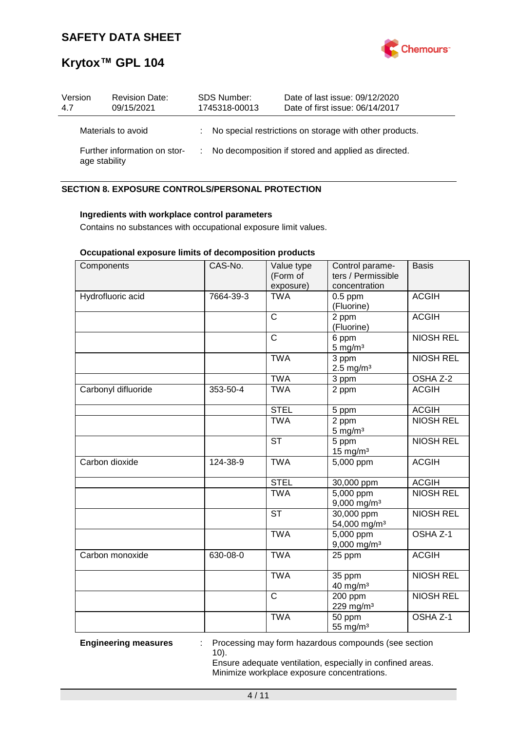

| Version<br>4.7 | <b>Revision Date:</b><br>09/15/2021           | <b>SDS Number:</b><br>1745318-00013 |  | Date of last issue: 09/12/2020<br>Date of first issue: 06/14/2017 |
|----------------|-----------------------------------------------|-------------------------------------|--|-------------------------------------------------------------------|
|                | Materials to avoid                            |                                     |  | : No special restrictions on storage with other products.         |
|                | Further information on stor-<br>age stability |                                     |  | No decomposition if stored and applied as directed.               |

### **SECTION 8. EXPOSURE CONTROLS/PERSONAL PROTECTION**

#### **Ingredients with workplace control parameters**

Contains no substances with occupational exposure limit values.

#### **Occupational exposure limits of decomposition products**

| Components          | CAS-No.   | Value type<br>(Form of<br>exposure) | Control parame-<br>ters / Permissible<br>concentration | <b>Basis</b>        |
|---------------------|-----------|-------------------------------------|--------------------------------------------------------|---------------------|
| Hydrofluoric acid   | 7664-39-3 | <b>TWA</b>                          | $0.5$ ppm<br>(Fluorine)                                | <b>ACGIH</b>        |
|                     |           | $\mathsf{C}$                        | 2 ppm<br>(Fluorine)                                    | <b>ACGIH</b>        |
|                     |           | $\mathsf{C}$                        | 6 ppm<br>$5$ mg/m <sup>3</sup>                         | <b>NIOSH REL</b>    |
|                     |           | <b>TWA</b>                          | 3 ppm<br>$2.5 \text{ mg/m}^3$                          | <b>NIOSH REL</b>    |
|                     |           | <b>TWA</b>                          | 3 ppm                                                  | OSHA Z-2            |
| Carbonyl difluoride | 353-50-4  | <b>TWA</b>                          | 2 ppm                                                  | <b>ACGIH</b>        |
|                     |           | <b>STEL</b>                         | 5 ppm                                                  | <b>ACGIH</b>        |
|                     |           | <b>TWA</b>                          | 2 ppm<br>$5 \text{ mg/m}^3$                            | <b>NIOSH REL</b>    |
|                     |           | <b>ST</b>                           | 5 ppm<br>$15$ mg/m <sup>3</sup>                        | <b>NIOSH REL</b>    |
| Carbon dioxide      | 124-38-9  | <b>TWA</b>                          | 5,000 ppm                                              | <b>ACGIH</b>        |
|                     |           | <b>STEL</b>                         | 30,000 ppm                                             | <b>ACGIH</b>        |
|                     |           | <b>TWA</b>                          | $\overline{5,000}$ ppm<br>9,000 mg/m <sup>3</sup>      | <b>NIOSH REL</b>    |
|                     |           | <b>ST</b>                           | 30,000 ppm<br>54,000 mg/m <sup>3</sup>                 | <b>NIOSH REL</b>    |
|                     |           | <b>TWA</b>                          | 5,000 ppm<br>$9,000$ mg/m <sup>3</sup>                 | OSHA <sub>Z-1</sub> |
| Carbon monoxide     | 630-08-0  | <b>TWA</b>                          | 25 ppm                                                 | <b>ACGIH</b>        |
|                     |           | <b>TWA</b>                          | 35 ppm<br>40 mg/m <sup>3</sup>                         | <b>NIOSH REL</b>    |
|                     |           | $\overline{\text{c}}$               | 200 ppm<br>229 mg/m <sup>3</sup>                       | <b>NIOSH REL</b>    |
|                     |           | <b>TWA</b>                          | 50 ppm<br>55 mg/m <sup>3</sup>                         | OSHA <sub>Z-1</sub> |

**Engineering measures** : Processing may form hazardous compounds (see section 10).

> Ensure adequate ventilation, especially in confined areas. Minimize workplace exposure concentrations.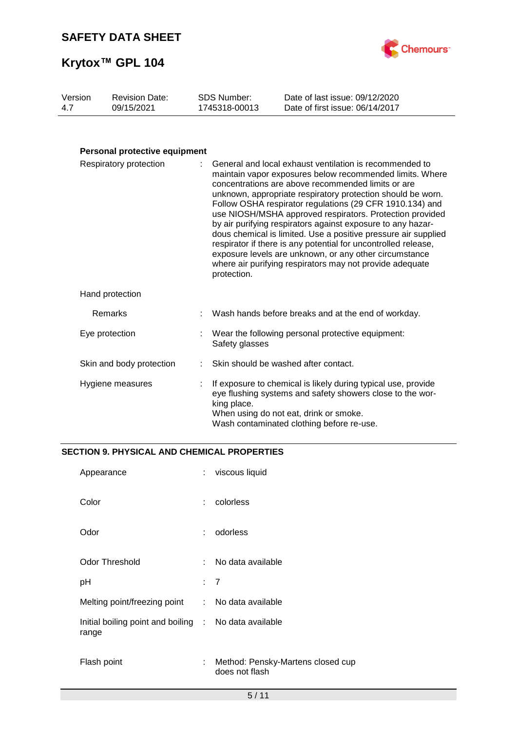

| Version | <b>Revision Date:</b> | SDS Number:   | Date of last issue: 09/12/2020  |
|---------|-----------------------|---------------|---------------------------------|
| 4.7     | 09/15/2021            | 1745318-00013 | Date of first issue: 06/14/2017 |
|         |                       |               |                                 |

### **Personal protective equipment**

| Respiratory protection   |  | : General and local exhaust ventilation is recommended to<br>maintain vapor exposures below recommended limits. Where<br>concentrations are above recommended limits or are<br>unknown, appropriate respiratory protection should be worn.<br>Follow OSHA respirator regulations (29 CFR 1910.134) and<br>use NIOSH/MSHA approved respirators. Protection provided<br>by air purifying respirators against exposure to any hazar-<br>dous chemical is limited. Use a positive pressure air supplied<br>respirator if there is any potential for uncontrolled release,<br>exposure levels are unknown, or any other circumstance<br>where air purifying respirators may not provide adequate<br>protection. |  |
|--------------------------|--|------------------------------------------------------------------------------------------------------------------------------------------------------------------------------------------------------------------------------------------------------------------------------------------------------------------------------------------------------------------------------------------------------------------------------------------------------------------------------------------------------------------------------------------------------------------------------------------------------------------------------------------------------------------------------------------------------------|--|
| Hand protection          |  |                                                                                                                                                                                                                                                                                                                                                                                                                                                                                                                                                                                                                                                                                                            |  |
| Remarks                  |  | Wash hands before breaks and at the end of workday.                                                                                                                                                                                                                                                                                                                                                                                                                                                                                                                                                                                                                                                        |  |
| Eye protection           |  | Wear the following personal protective equipment:<br>Safety glasses                                                                                                                                                                                                                                                                                                                                                                                                                                                                                                                                                                                                                                        |  |
| Skin and body protection |  | : Skin should be washed after contact.                                                                                                                                                                                                                                                                                                                                                                                                                                                                                                                                                                                                                                                                     |  |
| Hygiene measures         |  | If exposure to chemical is likely during typical use, provide<br>eye flushing systems and safety showers close to the wor-<br>king place.<br>When using do not eat, drink or smoke.<br>Wash contaminated clothing before re-use.                                                                                                                                                                                                                                                                                                                                                                                                                                                                           |  |

#### **SECTION 9. PHYSICAL AND CHEMICAL PROPERTIES**

| Appearance                                                     | ÷.  | viscous liquid                                      |
|----------------------------------------------------------------|-----|-----------------------------------------------------|
| Color                                                          | ÷   | colorless                                           |
| Odor                                                           | ÷   | odorless                                            |
| <b>Odor Threshold</b>                                          | ×., | No data available                                   |
| рH                                                             | : 7 |                                                     |
| Melting point/freezing point                                   |     | : No data available                                 |
| Initial boiling point and boiling : No data available<br>range |     |                                                     |
| Flash point                                                    | ÷   | Method: Pensky-Martens closed cup<br>does not flash |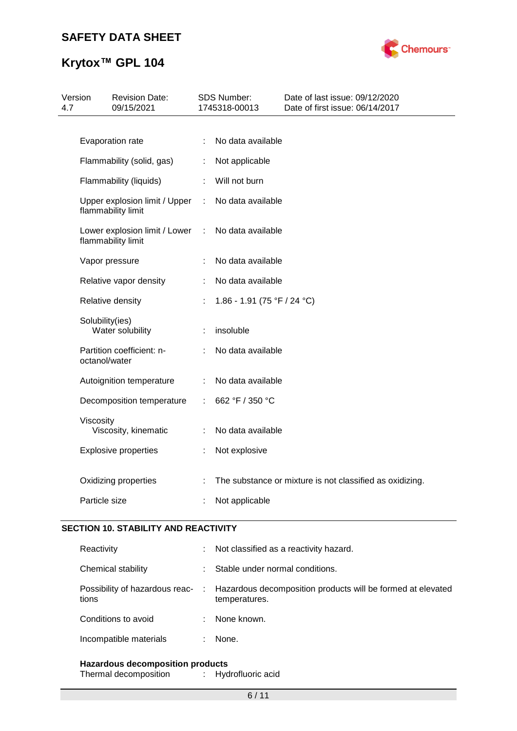

# **Krytox™ GPL 104**

| 4.7 | <b>Revision Date:</b><br>Version<br>09/15/2021      |    | SDS Number:<br>1745318-00013 | Date of last issue: 09/12/2020<br>Date of first issue: 06/14/2017 |
|-----|-----------------------------------------------------|----|------------------------------|-------------------------------------------------------------------|
|     |                                                     |    |                              |                                                                   |
|     | Evaporation rate                                    | ÷  | No data available            |                                                                   |
|     | Flammability (solid, gas)                           | ÷. | Not applicable               |                                                                   |
|     | Flammability (liquids)                              | t. | Will not burn                |                                                                   |
|     | Upper explosion limit / Upper<br>flammability limit |    | : No data available          |                                                                   |
|     | Lower explosion limit / Lower<br>flammability limit | ÷  | No data available            |                                                                   |
|     | Vapor pressure                                      |    | No data available            |                                                                   |
|     | Relative vapor density                              | ÷  | No data available            |                                                                   |
|     | Relative density                                    |    | 1.86 - 1.91 (75 °F / 24 °C)  |                                                                   |
|     | Solubility(ies)<br>Water solubility                 | ÷  | insoluble                    |                                                                   |
|     | Partition coefficient: n-<br>octanol/water          |    | No data available            |                                                                   |
|     | Autoignition temperature                            | ÷. | No data available            |                                                                   |
|     | Decomposition temperature                           | ÷. | 662 °F / 350 °C              |                                                                   |
|     | Viscosity<br>Viscosity, kinematic                   |    | No data available            |                                                                   |
|     | <b>Explosive properties</b>                         | ÷. | Not explosive                |                                                                   |
|     | Oxidizing properties                                |    |                              | The substance or mixture is not classified as oxidizing.          |
|     | Particle size                                       |    | Not applicable               |                                                                   |
|     |                                                     |    |                              |                                                                   |

#### **SECTION 10. STABILITY AND REACTIVITY**

| Reactivity                              |      | Not classified as a reactivity hazard.                                       |
|-----------------------------------------|------|------------------------------------------------------------------------------|
| Chemical stability                      |      | Stable under normal conditions.                                              |
| Possibility of hazardous reac-<br>tions | - 10 | Hazardous decomposition products will be formed at elevated<br>temperatures. |
| Conditions to avoid                     |      | None known.                                                                  |
| Incompatible materials                  |      | None.                                                                        |
|                                         |      |                                                                              |

#### **Hazardous decomposition products**

| Thermal decomposition |  | Hydrofluoric acid |
|-----------------------|--|-------------------|
|-----------------------|--|-------------------|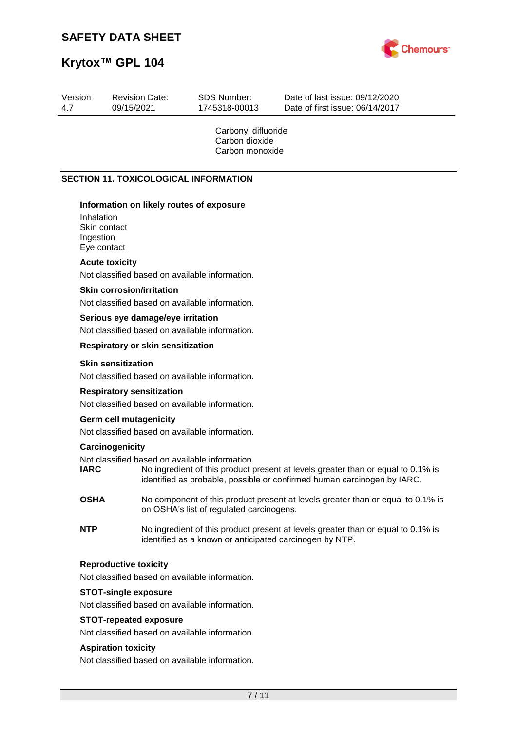

# **Krytox™ GPL 104**

| Version<br>4.7          | <b>Revision Date:</b><br>09/15/2021                                                                                                                                       | <b>SDS Number:</b><br>1745318-00013                      | Date of last issue: 09/12/2020<br>Date of first issue: 06/14/2017                                                                                           |
|-------------------------|---------------------------------------------------------------------------------------------------------------------------------------------------------------------------|----------------------------------------------------------|-------------------------------------------------------------------------------------------------------------------------------------------------------------|
|                         |                                                                                                                                                                           | Carbonyl difluoride<br>Carbon dioxide<br>Carbon monoxide |                                                                                                                                                             |
|                         | <b>SECTION 11. TOXICOLOGICAL INFORMATION</b>                                                                                                                              |                                                          |                                                                                                                                                             |
| Inhalation<br>Ingestion | Information on likely routes of exposure<br>Skin contact<br>Eye contact                                                                                                   |                                                          |                                                                                                                                                             |
|                         | <b>Acute toxicity</b><br>Not classified based on available information.                                                                                                   |                                                          |                                                                                                                                                             |
|                         | <b>Skin corrosion/irritation</b><br>Not classified based on available information.<br>Serious eye damage/eye irritation<br>Not classified based on available information. |                                                          |                                                                                                                                                             |
|                         | <b>Respiratory or skin sensitization</b>                                                                                                                                  |                                                          |                                                                                                                                                             |
|                         | <b>Skin sensitization</b><br>Not classified based on available information.                                                                                               |                                                          |                                                                                                                                                             |
|                         | <b>Respiratory sensitization</b><br>Not classified based on available information.                                                                                        |                                                          |                                                                                                                                                             |
|                         | <b>Germ cell mutagenicity</b><br>Not classified based on available information.                                                                                           |                                                          |                                                                                                                                                             |
|                         | Carcinogenicity                                                                                                                                                           |                                                          |                                                                                                                                                             |
| <b>IARC</b>             | Not classified based on available information.                                                                                                                            |                                                          | No ingredient of this product present at levels greater than or equal to 0.1% is<br>identified as probable, possible or confirmed human carcinogen by IARC. |
| <b>OSHA</b>             |                                                                                                                                                                           | on OSHA's list of regulated carcinogens.                 | No component of this product present at levels greater than or equal to 0.1% is                                                                             |
| <b>NTP</b>              |                                                                                                                                                                           | identified as a known or anticipated carcinogen by NTP.  | No ingredient of this product present at levels greater than or equal to 0.1% is                                                                            |
|                         | <b>Reproductive toxicity</b>                                                                                                                                              |                                                          |                                                                                                                                                             |
|                         | Not classified based on available information.                                                                                                                            |                                                          |                                                                                                                                                             |
|                         | <b>STOT-single exposure</b><br>Not classified based on available information.                                                                                             |                                                          |                                                                                                                                                             |
|                         | <b>STOT-repeated exposure</b><br>Not classified based on available information.                                                                                           |                                                          |                                                                                                                                                             |
|                         | <b>Aspiration toxicity</b>                                                                                                                                                |                                                          |                                                                                                                                                             |
|                         | Not classified based on available information.                                                                                                                            |                                                          |                                                                                                                                                             |
|                         |                                                                                                                                                                           | 7/11                                                     |                                                                                                                                                             |
|                         |                                                                                                                                                                           |                                                          |                                                                                                                                                             |
|                         |                                                                                                                                                                           |                                                          |                                                                                                                                                             |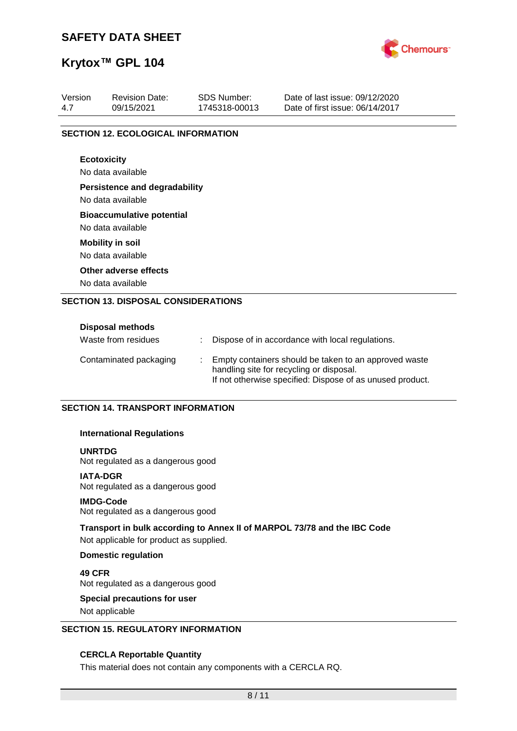

# **Krytox™ GPL 104**

| Version<br>4.7 | <b>Revision Date:</b>                      | <b>SDS Number:</b> | Date of last issue: 09/12/2020<br>Date of first issue: 06/14/2017 |
|----------------|--------------------------------------------|--------------------|-------------------------------------------------------------------|
|                | 09/15/2021                                 | 1745318-00013      |                                                                   |
|                | <b>SECTION 12. ECOLOGICAL INFORMATION</b>  |                    |                                                                   |
|                | <b>Ecotoxicity</b>                         |                    |                                                                   |
|                | No data available                          |                    |                                                                   |
|                | <b>Persistence and degradability</b>       |                    |                                                                   |
|                | No data available                          |                    |                                                                   |
|                | <b>Bioaccumulative potential</b>           |                    |                                                                   |
|                | No data available                          |                    |                                                                   |
|                | <b>Mobility in soil</b>                    |                    |                                                                   |
|                | No data available                          |                    |                                                                   |
|                | Other adverse effects                      |                    |                                                                   |
|                | No data available                          |                    |                                                                   |
|                | <b>SECTION 13. DISPOSAL CONSIDERATIONS</b> |                    |                                                                   |
|                |                                            |                    |                                                                   |
|                | Disposal methods                           |                    |                                                                   |

| PISPOSUI IIIUUIVUS     |  |                                                                                                                                                                |
|------------------------|--|----------------------------------------------------------------------------------------------------------------------------------------------------------------|
| Waste from residues    |  | Dispose of in accordance with local regulations.                                                                                                               |
| Contaminated packaging |  | Empty containers should be taken to an approved waste<br>handling site for recycling or disposal.<br>If not otherwise specified: Dispose of as unused product. |

#### **SECTION 14. TRANSPORT INFORMATION**

#### **International Regulations**

#### **UNRTDG**

Not regulated as a dangerous good

#### **IATA-DGR**

Not regulated as a dangerous good

#### **IMDG-Code**

Not regulated as a dangerous good

#### **Transport in bulk according to Annex II of MARPOL 73/78 and the IBC Code**

Not applicable for product as supplied.

#### **Domestic regulation**

**49 CFR** Not regulated as a dangerous good

# **Special precautions for user**

Not applicable

#### **SECTION 15. REGULATORY INFORMATION**

#### **CERCLA Reportable Quantity**

This material does not contain any components with a CERCLA RQ.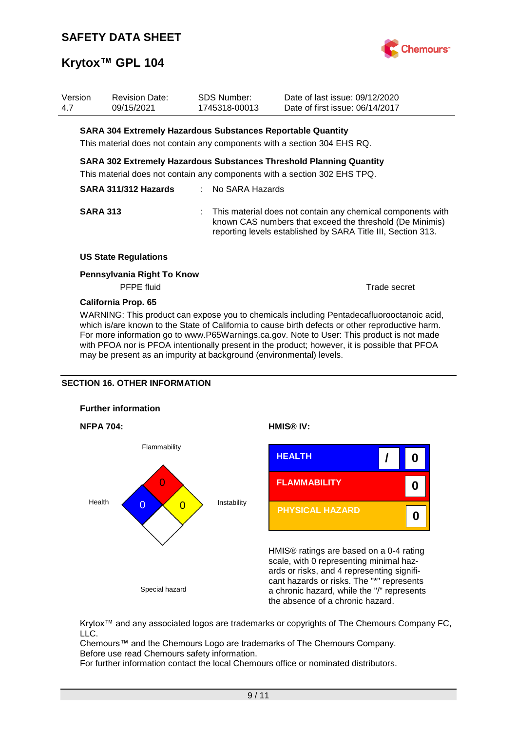

| Version<br>4.7 | <b>Revision Date:</b><br>09/15/2021                                |  | <b>SDS Number:</b><br>1745318-00013                                      | Date of last issue: 09/12/2020<br>Date of first issue: 06/14/2017                                                                                                                         |  |
|----------------|--------------------------------------------------------------------|--|--------------------------------------------------------------------------|-------------------------------------------------------------------------------------------------------------------------------------------------------------------------------------------|--|
|                | <b>SARA 304 Extremely Hazardous Substances Reportable Quantity</b> |  |                                                                          |                                                                                                                                                                                           |  |
|                |                                                                    |  | This material does not contain any components with a section 304 EHS RQ. |                                                                                                                                                                                           |  |
|                |                                                                    |  |                                                                          | SARA 302 Extremely Hazardous Substances Threshold Planning Quantity<br>This material does not contain any components with a section 302 EHS TPQ.                                          |  |
|                | SARA 311/312 Hazards                                               |  | : No SARA Hazards                                                        |                                                                                                                                                                                           |  |
|                | <b>SARA 313</b>                                                    |  |                                                                          | : This material does not contain any chemical components with<br>known CAS numbers that exceed the threshold (De Minimis)<br>reporting levels established by SARA Title III, Section 313. |  |
|                | <b>US State Regulations</b>                                        |  |                                                                          |                                                                                                                                                                                           |  |
|                | Pennsylvania Right To Know                                         |  |                                                                          |                                                                                                                                                                                           |  |
|                | <b>PFPE</b> fluid                                                  |  |                                                                          | Trade secret                                                                                                                                                                              |  |

#### **California Prop. 65**

WARNING: This product can expose you to chemicals including Pentadecafluorooctanoic acid, which is/are known to the State of California to cause birth defects or other reproductive harm. For more information go to www.P65Warnings.ca.gov. Note to User: This product is not made with PFOA nor is PFOA intentionally present in the product; however, it is possible that PFOA may be present as an impurity at background (environmental) levels.

#### **SECTION 16. OTHER INFORMATION**









HMIS® ratings are based on a 0-4 rating scale, with 0 representing minimal hazards or risks, and 4 representing significant hazards or risks. The "\*" represents a chronic hazard, while the "/" represents the absence of a chronic hazard.

Krytox™ and any associated logos are trademarks or copyrights of The Chemours Company FC, LLC.

Chemours™ and the Chemours Logo are trademarks of The Chemours Company. Before use read Chemours safety information.

For further information contact the local Chemours office or nominated distributors.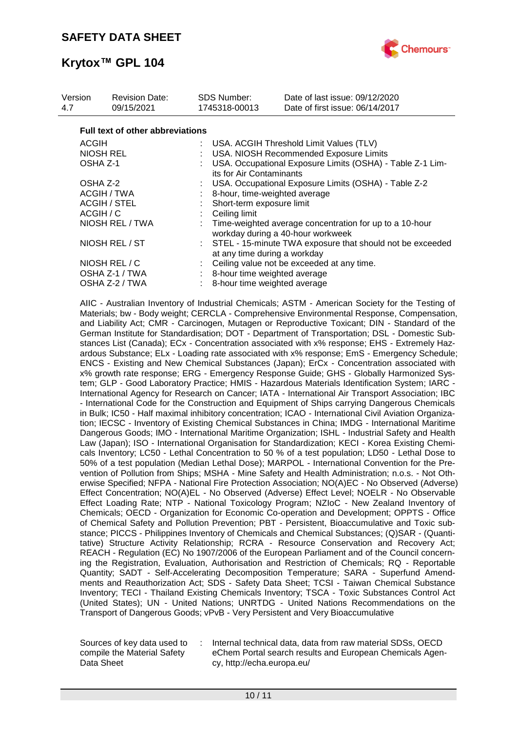

| Version<br>4.7  | <b>Revision Date:</b><br>09/15/2021     | SDS Number: | 1745318-00013                                                                             | Date of last issue: 09/12/2020<br>Date of first issue: 06/14/2017                            |  |
|-----------------|-----------------------------------------|-------------|-------------------------------------------------------------------------------------------|----------------------------------------------------------------------------------------------|--|
|                 | <b>Full text of other abbreviations</b> |             |                                                                                           |                                                                                              |  |
| <b>ACGIH</b>    |                                         |             |                                                                                           | : USA. ACGIH Threshold Limit Values (TLV)                                                    |  |
|                 | <b>NIOSH REL</b>                        |             |                                                                                           | USA. NIOSH Recommended Exposure Limits                                                       |  |
| OSHA Z-1        |                                         |             | its for Air Contaminants                                                                  | USA. Occupational Exposure Limits (OSHA) - Table Z-1 Lim-                                    |  |
| OSHA Z-2        |                                         |             |                                                                                           | USA. Occupational Exposure Limits (OSHA) - Table Z-2                                         |  |
|                 | ACGIH / TWA                             |             |                                                                                           | 8-hour, time-weighted average                                                                |  |
|                 | <b>ACGIH / STEL</b>                     |             | Short-term exposure limit                                                                 |                                                                                              |  |
| ACGIH / C       |                                         |             | Ceiling limit                                                                             |                                                                                              |  |
| NIOSH REL / TWA |                                         |             |                                                                                           | Time-weighted average concentration for up to a 10-hour<br>workday during a 40-hour workweek |  |
| NIOSH REL / ST  |                                         |             | STEL - 15-minute TWA exposure that should not be exceeded<br>at any time during a workday |                                                                                              |  |
|                 | NIOSH REL / C                           |             |                                                                                           | Ceiling value not be exceeded at any time.                                                   |  |
|                 | OSHA Z-1 / TWA                          |             |                                                                                           | : 8-hour time weighted average                                                               |  |
|                 | OSHA Z-2 / TWA                          |             |                                                                                           | 8-hour time weighted average                                                                 |  |

AIIC - Australian Inventory of Industrial Chemicals; ASTM - American Society for the Testing of Materials; bw - Body weight; CERCLA - Comprehensive Environmental Response, Compensation, and Liability Act; CMR - Carcinogen, Mutagen or Reproductive Toxicant; DIN - Standard of the German Institute for Standardisation; DOT - Department of Transportation; DSL - Domestic Substances List (Canada); ECx - Concentration associated with x% response; EHS - Extremely Hazardous Substance; ELx - Loading rate associated with x% response; EmS - Emergency Schedule; ENCS - Existing and New Chemical Substances (Japan); ErCx - Concentration associated with x% growth rate response; ERG - Emergency Response Guide; GHS - Globally Harmonized System; GLP - Good Laboratory Practice; HMIS - Hazardous Materials Identification System; IARC - International Agency for Research on Cancer; IATA - International Air Transport Association; IBC - International Code for the Construction and Equipment of Ships carrying Dangerous Chemicals in Bulk; IC50 - Half maximal inhibitory concentration; ICAO - International Civil Aviation Organization; IECSC - Inventory of Existing Chemical Substances in China; IMDG - International Maritime Dangerous Goods; IMO - International Maritime Organization; ISHL - Industrial Safety and Health Law (Japan); ISO - International Organisation for Standardization; KECI - Korea Existing Chemicals Inventory; LC50 - Lethal Concentration to 50 % of a test population; LD50 - Lethal Dose to 50% of a test population (Median Lethal Dose); MARPOL - International Convention for the Prevention of Pollution from Ships; MSHA - Mine Safety and Health Administration; n.o.s. - Not Otherwise Specified; NFPA - National Fire Protection Association; NO(A)EC - No Observed (Adverse) Effect Concentration; NO(A)EL - No Observed (Adverse) Effect Level; NOELR - No Observable Effect Loading Rate; NTP - National Toxicology Program; NZIoC - New Zealand Inventory of Chemicals; OECD - Organization for Economic Co-operation and Development; OPPTS - Office of Chemical Safety and Pollution Prevention; PBT - Persistent, Bioaccumulative and Toxic substance; PICCS - Philippines Inventory of Chemicals and Chemical Substances; (Q)SAR - (Quantitative) Structure Activity Relationship; RCRA - Resource Conservation and Recovery Act; REACH - Regulation (EC) No 1907/2006 of the European Parliament and of the Council concerning the Registration, Evaluation, Authorisation and Restriction of Chemicals; RQ - Reportable Quantity; SADT - Self-Accelerating Decomposition Temperature; SARA - Superfund Amendments and Reauthorization Act; SDS - Safety Data Sheet; TCSI - Taiwan Chemical Substance Inventory; TECI - Thailand Existing Chemicals Inventory; TSCA - Toxic Substances Control Act (United States); UN - United Nations; UNRTDG - United Nations Recommendations on the Transport of Dangerous Goods; vPvB - Very Persistent and Very Bioaccumulative

Sources of key data used to compile the Material Safety Data Sheet

Internal technical data, data from raw material SDSs, OECD eChem Portal search results and European Chemicals Agency, http://echa.europa.eu/